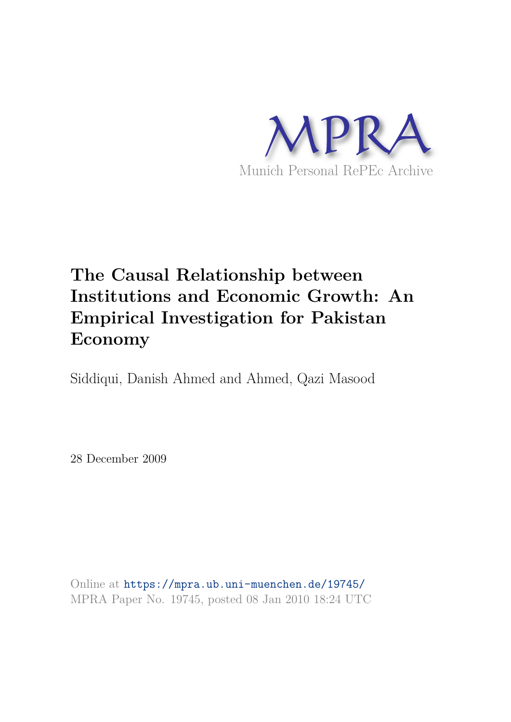

# **The Causal Relationship between Institutions and Economic Growth: An Empirical Investigation for Pakistan Economy**

Siddiqui, Danish Ahmed and Ahmed, Qazi Masood

28 December 2009

Online at https://mpra.ub.uni-muenchen.de/19745/ MPRA Paper No. 19745, posted 08 Jan 2010 18:24 UTC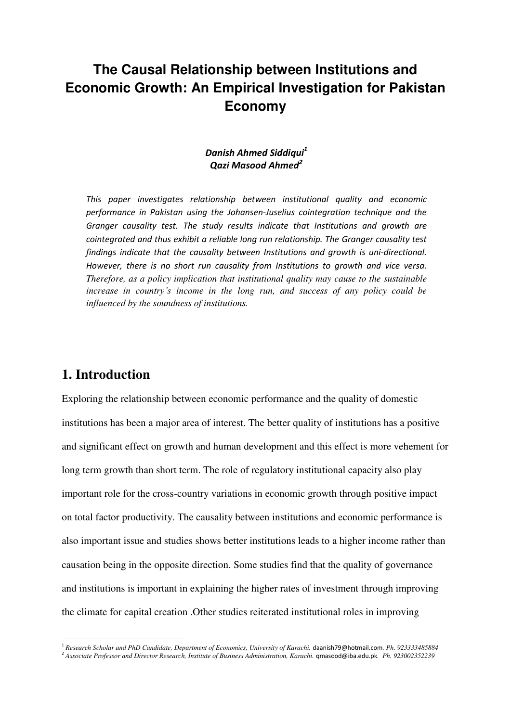# **The Causal Relationship between Institutions and Economic Growth: An Empirical Investigation for Pakistan Economy**

#### *Danish Ahmed Siddiqui<sup>1</sup> Qazi Masood Ahmed<sup>2</sup>*

*This paper investigates relationship between institutional quality and economic performance in Pakistan using the Johansen-Juselius cointegration technique and the Granger causality test. The study results indicate that Institutions and growth are cointegrated and thus exhibit a reliable long run relationship. The Granger causality test findings indicate that the causality between Institutions and growth is uni-directional. However, there is no short run causality from Institutions to growth and vice versa. Therefore, as a policy implication that institutional quality may cause to the sustainable increase in country's income in the long run, and success of any policy could be influenced by the soundness of institutions.*

# **1. Introduction**

<u>.</u>

Exploring the relationship between economic performance and the quality of domestic institutions has been a major area of interest. The better quality of institutions has a positive and significant effect on growth and human development and this effect is more vehement for long term growth than short term. The role of regulatory institutional capacity also play important role for the cross-country variations in economic growth through positive impact on total factor productivity. The causality between institutions and economic performance is also important issue and studies shows better institutions leads to a higher income rather than causation being in the opposite direction. Some studies find that the quality of governance and institutions is important in explaining the higher rates of investment through improving the climate for capital creation .Other studies reiterated institutional roles in improving

<sup>&</sup>lt;sup>1</sup> Research Scholar and PhD Candidate, Department of Economics, University of Karachi. [daanish79@hotmail.com](mailto:daanish79@hotmail.com). Ph. 923333485884

<sup>2</sup> *Associate Professor and Director Research, Institute of Business Administration, Karachi.* [qmasood@iba.edu.pk](mailto:qmasood@iba.edu.pk)*. Ph. 923002352239*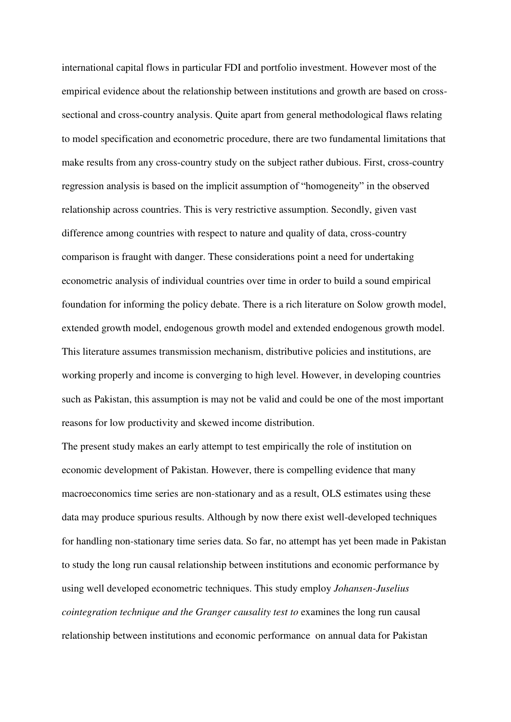international capital flows in particular FDI and portfolio investment. However most of the empirical evidence about the relationship between institutions and growth are based on crosssectional and cross-country analysis. Quite apart from general methodological flaws relating to model specification and econometric procedure, there are two fundamental limitations that make results from any cross-country study on the subject rather dubious. First, cross-country regression analysis is based on the implicit assumption of "homogeneity" in the observed relationship across countries. This is very restrictive assumption. Secondly, given vast difference among countries with respect to nature and quality of data, cross-country comparison is fraught with danger. These considerations point a need for undertaking econometric analysis of individual countries over time in order to build a sound empirical foundation for informing the policy debate. There is a rich literature on Solow growth model, extended growth model, endogenous growth model and extended endogenous growth model. This literature assumes transmission mechanism, distributive policies and institutions, are working properly and income is converging to high level. However, in developing countries such as Pakistan, this assumption is may not be valid and could be one of the most important reasons for low productivity and skewed income distribution.

The present study makes an early attempt to test empirically the role of institution on economic development of Pakistan. However, there is compelling evidence that many macroeconomics time series are non-stationary and as a result, OLS estimates using these data may produce spurious results. Although by now there exist well-developed techniques for handling non-stationary time series data. So far, no attempt has yet been made in Pakistan to study the long run causal relationship between institutions and economic performance by using well developed econometric techniques. This study employ *Johansen-Juselius cointegration technique and the Granger causality test to* examines the long run causal relationship between institutions and economic performance on annual data for Pakistan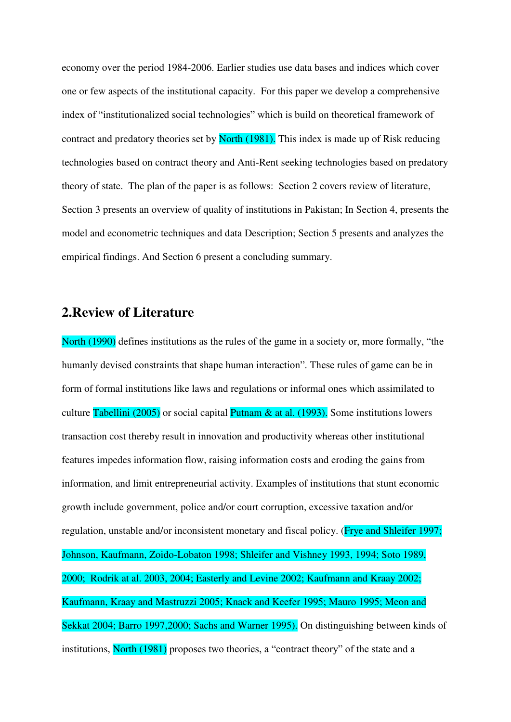economy over the period 1984-2006. Earlier studies use data bases and indices which cover one or few aspects of the institutional capacity. For this paper we develop a comprehensive index of "institutionalized social technologies" which is build on theoretical framework of contract and predatory theories set by North (1981). This index is made up of Risk reducing technologies based on contract theory and Anti-Rent seeking technologies based on predatory theory of state.The plan of the paper is as follows: Section 2 covers review of literature, Section 3 presents an overview of quality of institutions in Pakistan; In Section 4, presents the model and econometric techniques and data Description; Section 5 presents and analyzes the empirical findings. And Section 6 present a concluding summary.

#### **2.Review of Literature**

North (1990) defines institutions as the rules of the game in a society or, more formally, "the humanly devised constraints that shape human interaction". These rules of game can be in form of formal institutions like laws and regulations or informal ones which assimilated to culture Tabellini (2005) or social capital Putnam  $\&$  at al. (1993). Some institutions lowers transaction cost thereby result in innovation and productivity whereas other institutional features impedes information flow, raising information costs and eroding the gains from information, and limit entrepreneurial activity. Examples of institutions that stunt economic growth include government, police and/or court corruption, excessive taxation and/or regulation, unstable and/or inconsistent monetary and fiscal policy. (Frye and Shleifer 1997; Johnson, Kaufmann, Zoido-Lobaton 1998; Shleifer and Vishney 1993, 1994; Soto 1989, 2000; Rodrik at al. 2003, 2004; Easterly and Levine 2002; Kaufmann and Kraay 2002; Kaufmann, Kraay and Mastruzzi 2005; Knack and Keefer 1995; Mauro 1995; Meon and Sekkat 2004; Barro 1997,2000; Sachs and Warner 1995). On distinguishing between kinds of institutions, North (1981) proposes two theories, a "contract theory" of the state and a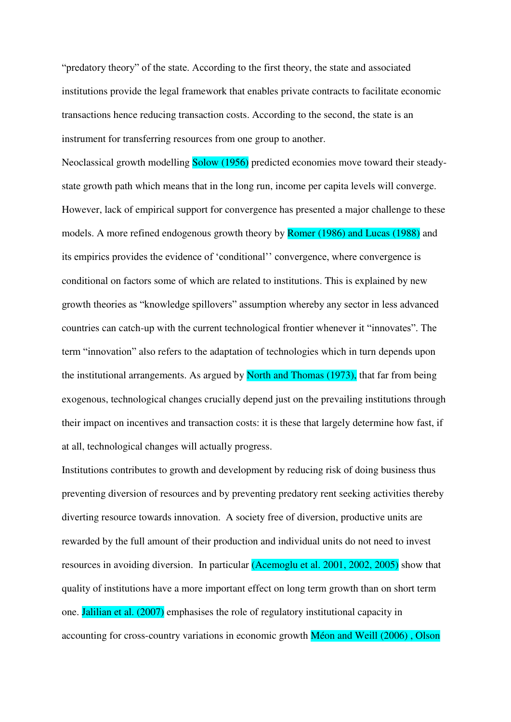"predatory theory" of the state. According to the first theory, the state and associated institutions provide the legal framework that enables private contracts to facilitate economic transactions hence reducing transaction costs. According to the second, the state is an instrument for transferring resources from one group to another.

Neoclassical growth modelling Solow (1956) predicted economies move toward their steadystate growth path which means that in the long run, income per capita levels will converge. However, lack of empirical support for convergence has presented a major challenge to these models. A more refined endogenous growth theory by Romer (1986) and Lucas (1988) and its empirics provides the evidence of "conditional"" convergence, where convergence is conditional on factors some of which are related to institutions. This is explained by new growth theories as "knowledge spillovers" assumption whereby any sector in less advanced countries can catch-up with the current technological frontier whenever it "innovates". The term "innovation" also refers to the adaptation of technologies which in turn depends upon the institutional arrangements. As argued by North and Thomas (1973), that far from being exogenous, technological changes crucially depend just on the prevailing institutions through their impact on incentives and transaction costs: it is these that largely determine how fast, if at all, technological changes will actually progress.

Institutions contributes to growth and development by reducing risk of doing business thus preventing diversion of resources and by preventing predatory rent seeking activities thereby diverting resource towards innovation. A society free of diversion, productive units are rewarded by the full amount of their production and individual units do not need to invest resources in avoiding diversion. In particular (Acemoglu et al. 2001, 2002, 2005) show that quality of institutions have a more important effect on long term growth than on short term one. Jalilian et al. (2007) emphasises the role of regulatory institutional capacity in accounting for cross-country variations in economic growth Méon and Weill (2006) , Olson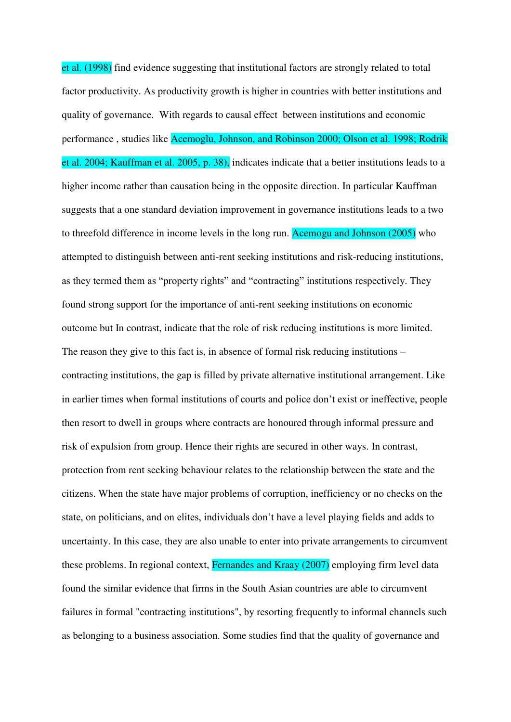et al. (1998) find evidence suggesting that institutional factors are strongly related to total factor productivity. As productivity growth is higher in countries with better institutions and quality of governance. With regards to causal effect between institutions and economic performance , studies like Acemoglu, Johnson, and Robinson 2000; Olson et al. 1998; Rodrik et al. 2004; Kauffman et al. 2005, p. 38), indicates indicate that a better institutions leads to a higher income rather than causation being in the opposite direction. In particular Kauffman suggests that a one standard deviation improvement in governance institutions leads to a two to threefold difference in income levels in the long run. Acemogu and Johnson (2005) who attempted to distinguish between anti-rent seeking institutions and risk-reducing institutions, as they termed them as "property rights" and "contracting" institutions respectively. They found strong support for the importance of anti-rent seeking institutions on economic outcome but In contrast, indicate that the role of risk reducing institutions is more limited. The reason they give to this fact is, in absence of formal risk reducing institutions – contracting institutions, the gap is filled by private alternative institutional arrangement. Like in earlier times when formal institutions of courts and police don"t exist or ineffective, people then resort to dwell in groups where contracts are honoured through informal pressure and risk of expulsion from group. Hence their rights are secured in other ways. In contrast, protection from rent seeking behaviour relates to the relationship between the state and the citizens. When the state have major problems of corruption, inefficiency or no checks on the state, on politicians, and on elites, individuals don"t have a level playing fields and adds to uncertainty. In this case, they are also unable to enter into private arrangements to circumvent these problems. In regional context, Fernandes and Kraay (2007) employing firm level data found the similar evidence that firms in the South Asian countries are able to circumvent failures in formal "contracting institutions", by resorting frequently to informal channels such as belonging to a business association. Some studies find that the quality of governance and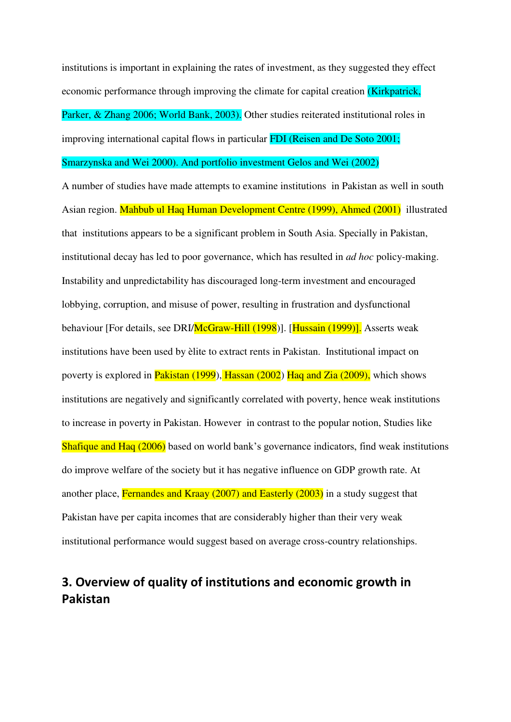institutions is important in explaining the rates of investment, as they suggested they effect economic performance through improving the climate for capital creation (Kirkpatrick, Parker, & Zhang 2006; World Bank, 2003). Other studies reiterated institutional roles in improving international capital flows in particular FDI (Reisen and De Soto 2001;

#### Smarzynska and Wei 2000). And portfolio investment Gelos and Wei (2002)

A number of studies have made attempts to examine institutions in Pakistan as well in south Asian region. Mahbub ul Haq Human Development Centre (1999), Ahmed (2001) illustrated that institutions appears to be a significant problem in South Asia. Specially in Pakistan, institutional decay has led to poor governance, which has resulted in *ad hoc* policy-making. Instability and unpredictability has discouraged long-term investment and encouraged lobbying, corruption, and misuse of power, resulting in frustration and dysfunctional behaviour [For details, see DRI/McGraw-Hill (1998)]. [Hussain (1999)]. Asserts weak institutions have been used by èlite to extract rents in Pakistan. Institutional impact on poverty is explored in Pakistan (1999), Hassan (2002) Haq and Zia (2009), which shows institutions are negatively and significantly correlated with poverty, hence weak institutions to increase in poverty in Pakistan. However in contrast to the popular notion, Studies like Shafique and Haq (2006) based on world bank's governance indicators, find weak institutions do improve welfare of the society but it has negative influence on GDP growth rate. At another place, Fernandes and Kraay (2007) and Easterly (2003) in a study suggest that Pakistan have per capita incomes that are considerably higher than their very weak institutional performance would suggest based on average cross-country relationships.

# **3. Overview of quality of institutions and economic growth in Pakistan**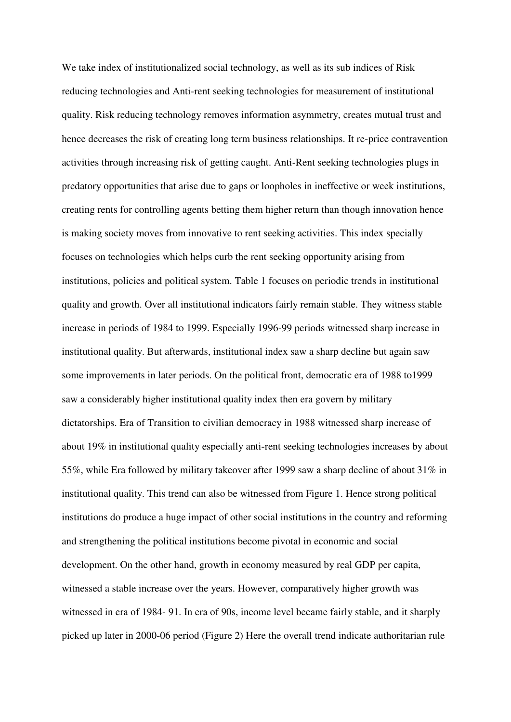We take index of institutionalized social technology, as well as its sub indices of Risk reducing technologies and Anti-rent seeking technologies for measurement of institutional quality. Risk reducing technology removes information asymmetry, creates mutual trust and hence decreases the risk of creating long term business relationships. It re-price contravention activities through increasing risk of getting caught. Anti-Rent seeking technologies plugs in predatory opportunities that arise due to gaps or loopholes in ineffective or week institutions, creating rents for controlling agents betting them higher return than though innovation hence is making society moves from innovative to rent seeking activities. This index specially focuses on technologies which helps curb the rent seeking opportunity arising from institutions, policies and political system. Table 1 focuses on periodic trends in institutional quality and growth. Over all institutional indicators fairly remain stable. They witness stable increase in periods of 1984 to 1999. Especially 1996-99 periods witnessed sharp increase in institutional quality. But afterwards, institutional index saw a sharp decline but again saw some improvements in later periods. On the political front, democratic era of 1988 to1999 saw a considerably higher institutional quality index then era govern by military dictatorships. Era of Transition to civilian democracy in 1988 witnessed sharp increase of about 19% in institutional quality especially anti-rent seeking technologies increases by about 55%, while Era followed by military takeover after 1999 saw a sharp decline of about 31% in institutional quality. This trend can also be witnessed from Figure 1. Hence strong political institutions do produce a huge impact of other social institutions in the country and reforming and strengthening the political institutions become pivotal in economic and social development. On the other hand, growth in economy measured by real GDP per capita, witnessed a stable increase over the years. However, comparatively higher growth was witnessed in era of 1984- 91. In era of 90s, income level became fairly stable, and it sharply picked up later in 2000-06 period (Figure 2) Here the overall trend indicate authoritarian rule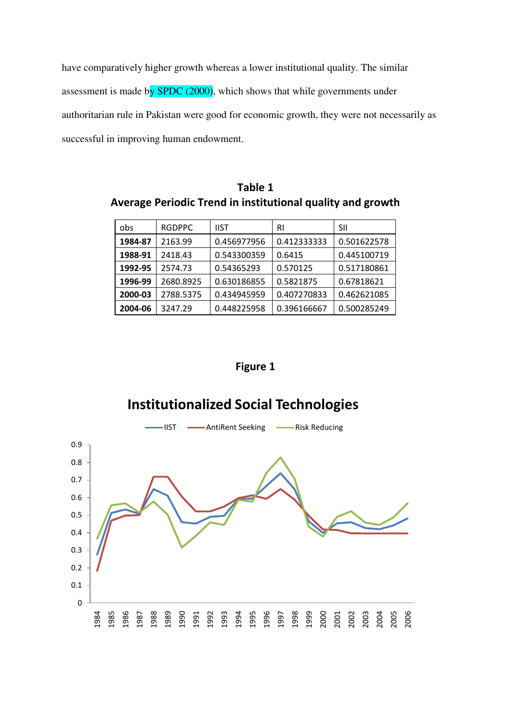have comparatively higher growth whereas a lower institutional quality. The similar assessment is made by  $SPDC (2000)$ , which shows that while governments under authoritarian rule in Pakistan were good for economic growth, they were not necessarily as successful in improving human endowment.

**Table 1 Average Periodic Trend in institutional quality and growth** 

| obs     | <b>RGDPPC</b> | <b>IIST</b> | RI          | SII         |
|---------|---------------|-------------|-------------|-------------|
| 1984-87 | 2163.99       | 0.456977956 | 0.412333333 | 0.501622578 |
| 1988-91 | 2418.43       | 0.543300359 | 0.6415      | 0.445100719 |
| 1992-95 | 2574.73       | 0.54365293  | 0.570125    | 0.517180861 |
| 1996-99 | 2680.8925     | 0.630186855 | 0.5821875   | 0.67818621  |
| 2000-03 | 2788.5375     | 0.434945959 | 0.407270833 | 0.462621085 |
| 2004-06 | 3247.29       | 0.448225958 | 0.396166667 | 0.500285249 |

**Figure 1** 

# **Institutionalized Social Technologies**

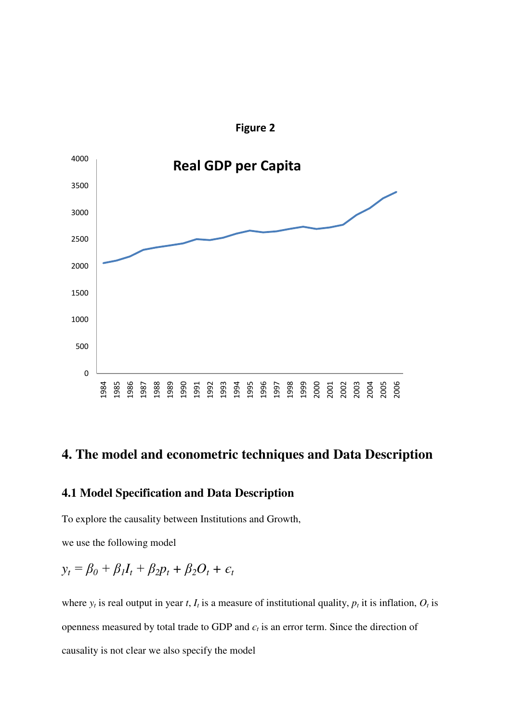

**Figure 2** 

# **4. The model and econometric techniques and Data Description**

#### **4.1 Model Specification and Data Description**

To explore the causality between Institutions and Growth,

we use the following model

$$
y_t = \beta_0 + \beta_1 I_t + \beta_2 p_t + \beta_2 O_t + \epsilon_t
$$

where  $y_t$  is real output in year *t*,  $I_t$  is a measure of institutional quality,  $p_t$  it is inflation,  $O_t$  is openness measured by total trade to GDP and  $\epsilon_t$  is an error term. Since the direction of causality is not clear we also specify the model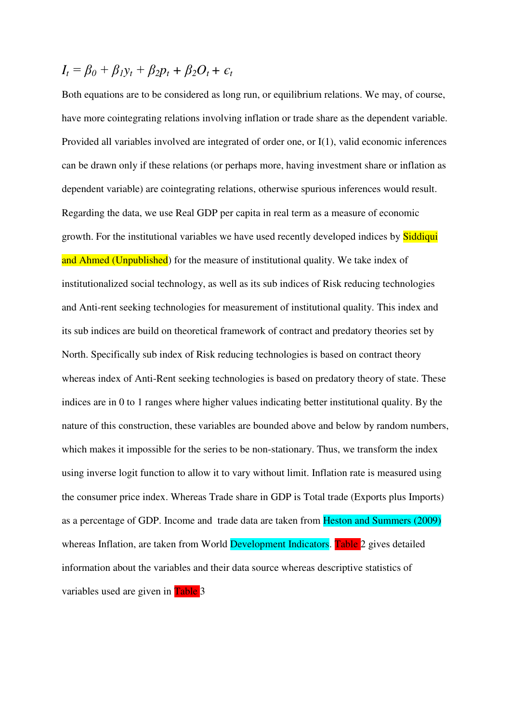$$
I_t = \beta_0 + \beta_1 y_t + \beta_2 p_t + \beta_2 O_t + \epsilon_t
$$

Both equations are to be considered as long run, or equilibrium relations. We may, of course, have more cointegrating relations involving inflation or trade share as the dependent variable. Provided all variables involved are integrated of order one, or I(1), valid economic inferences can be drawn only if these relations (or perhaps more, having investment share or inflation as dependent variable) are cointegrating relations, otherwise spurious inferences would result. Regarding the data, we use Real GDP per capita in real term as a measure of economic growth. For the institutional variables we have used recently developed indices by **Siddiqui** and Ahmed (Unpublished) for the measure of institutional quality. We take index of institutionalized social technology, as well as its sub indices of Risk reducing technologies and Anti-rent seeking technologies for measurement of institutional quality. This index and its sub indices are build on theoretical framework of contract and predatory theories set by North. Specifically sub index of Risk reducing technologies is based on contract theory whereas index of Anti-Rent seeking technologies is based on predatory theory of state. These indices are in 0 to 1 ranges where higher values indicating better institutional quality. By the nature of this construction, these variables are bounded above and below by random numbers, which makes it impossible for the series to be non-stationary. Thus, we transform the index using inverse logit function to allow it to vary without limit. Inflation rate is measured using the consumer price index. Whereas Trade share in GDP is Total trade (Exports plus Imports) as a percentage of GDP. Income and trade data are taken from Heston and Summers (2009) whereas Inflation, are taken from World Development Indicators. Table 2 gives detailed information about the variables and their data source whereas descriptive statistics of variables used are given in Table 3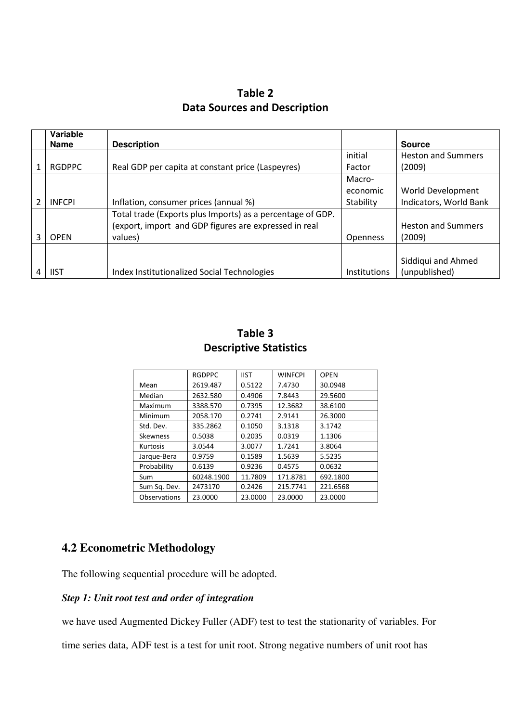| Table 2                             |  |  |  |  |  |
|-------------------------------------|--|--|--|--|--|
| <b>Data Sources and Description</b> |  |  |  |  |  |

|   | Variable<br><b>Name</b> | <b>Description</b>                                         |                     | <b>Source</b>             |
|---|-------------------------|------------------------------------------------------------|---------------------|---------------------------|
|   |                         |                                                            | initial             | <b>Heston and Summers</b> |
|   | <b>RGDPPC</b>           | Real GDP per capita at constant price (Laspeyres)          | Factor              | (2009)                    |
|   |                         |                                                            | Macro-              |                           |
|   |                         |                                                            | economic            | World Development         |
| 2 | <b>INFCPI</b>           | Inflation, consumer prices (annual %)                      | Stability           | Indicators, World Bank    |
|   |                         | Total trade (Exports plus Imports) as a percentage of GDP. |                     |                           |
|   |                         | (export, import and GDP figures are expressed in real      |                     | <b>Heston and Summers</b> |
| 3 | <b>OPEN</b>             | values)                                                    | <b>Openness</b>     | (2009)                    |
|   |                         |                                                            |                     |                           |
|   |                         |                                                            |                     | Siddiqui and Ahmed        |
|   | <b>IIST</b>             | Index Institutionalized Social Technologies                | <b>Institutions</b> | (unpublished)             |

| Table 3                       |  |  |  |  |
|-------------------------------|--|--|--|--|
| <b>Descriptive Statistics</b> |  |  |  |  |

|                     | <b>RGDPPC</b> | <b>IIST</b> | <b>WINFCPI</b> | <b>OPEN</b> |
|---------------------|---------------|-------------|----------------|-------------|
| Mean                | 2619.487      | 0.5122      | 7.4730         | 30.0948     |
| Median              | 2632.580      | 0.4906      | 7.8443         | 29.5600     |
| Maximum             | 3388.570      | 0.7395      | 12.3682        | 38.6100     |
| Minimum             | 2058.170      | 0.2741      | 2.9141         | 26.3000     |
| Std. Dev.           | 335.2862      | 0.1050      | 3.1318         | 3.1742      |
| <b>Skewness</b>     | 0.5038        | 0.2035      | 0.0319         | 1.1306      |
| Kurtosis            | 3.0544        | 3.0077      | 1.7241         | 3.8064      |
| Jarque-Bera         | 0.9759        | 0.1589      | 1.5639         | 5.5235      |
| Probability         | 0.6139        | 0.9236      | 0.4575         | 0.0632      |
| Sum                 | 60248.1900    | 11.7809     | 171.8781       | 692.1800    |
| Sum Sq. Dev.        | 2473170       | 0.2426      | 215.7741       | 221.6568    |
| <b>Observations</b> | 23.0000       | 23.0000     | 23.0000        | 23.0000     |

# **4.2 Econometric Methodology**

The following sequential procedure will be adopted.

#### *Step 1: Unit root test and order of integration*

we have used Augmented Dickey Fuller (ADF) test to test the stationarity of variables. For

time series data, ADF test is a test for unit root. Strong negative numbers of unit root has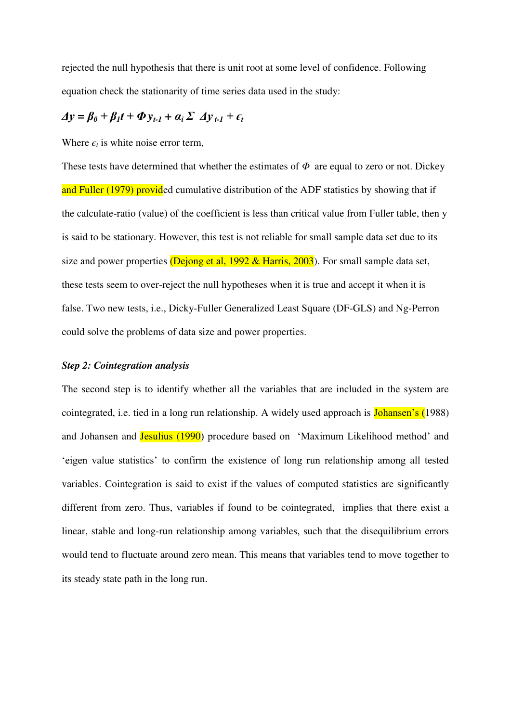rejected the null hypothesis that there is unit root at some level of confidence. Following equation check the stationarity of time series data used in the study:

# $\Delta y = \beta_0 + \beta_1 t + \Phi y_{t-1} + \alpha_i \Sigma \Delta y_{t-1} + \epsilon_t$

Where  $\epsilon_t$  is white noise error term,

These tests have determined that whether the estimates of *Φ* are equal to zero or not. Dickey and Fuller (1979) provided cumulative distribution of the ADF statistics by showing that if the calculate-ratio (value) of the coefficient is less than critical value from Fuller table, then y is said to be stationary. However, this test is not reliable for small sample data set due to its size and power properties (Dejong et al,  $1992 \&$  Harris,  $2003$ ). For small sample data set, these tests seem to over-reject the null hypotheses when it is true and accept it when it is false. Two new tests, i.e., Dicky-Fuller Generalized Least Square (DF-GLS) and Ng-Perron could solve the problems of data size and power properties.

#### *Step 2: Cointegration analysis*

The second step is to identify whether all the variables that are included in the system are cointegrated, i.e. tied in a long run relationship. A widely used approach is **Johansen's** (1988) and Johansen and Jesulius (1990) procedure based on "Maximum Likelihood method" and "eigen value statistics" to confirm the existence of long run relationship among all tested variables. Cointegration is said to exist if the values of computed statistics are significantly different from zero. Thus, variables if found to be cointegrated, implies that there exist a linear, stable and long-run relationship among variables, such that the disequilibrium errors would tend to fluctuate around zero mean. This means that variables tend to move together to its steady state path in the long run.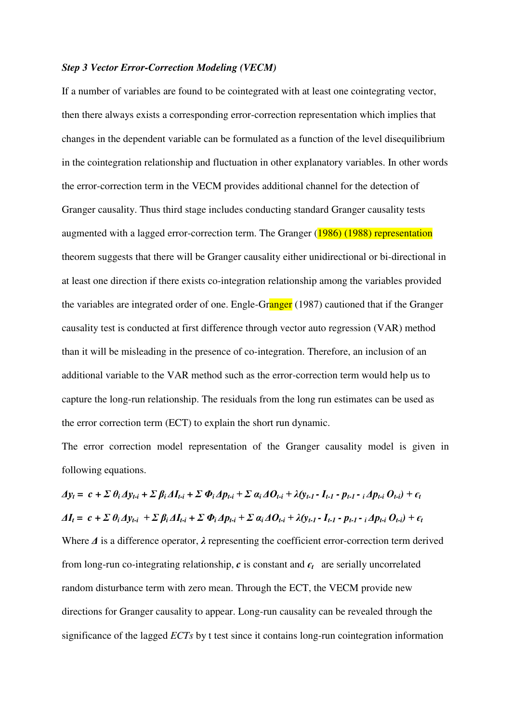#### *Step 3 Vector Error-Correction Modeling (VECM)*

If a number of variables are found to be cointegrated with at least one cointegrating vector, then there always exists a corresponding error-correction representation which implies that changes in the dependent variable can be formulated as a function of the level disequilibrium in the cointegration relationship and fluctuation in other explanatory variables. In other words the error-correction term in the VECM provides additional channel for the detection of Granger causality. Thus third stage includes conducting standard Granger causality tests augmented with a lagged error-correction term. The Granger (1986) (1988) representation theorem suggests that there will be Granger causality either unidirectional or bi-directional in at least one direction if there exists co-integration relationship among the variables provided the variables are integrated order of one. Engle-Granger (1987) cautioned that if the Granger causality test is conducted at first difference through vector auto regression (VAR) method than it will be misleading in the presence of co-integration. Therefore, an inclusion of an additional variable to the VAR method such as the error-correction term would help us to capture the long-run relationship. The residuals from the long run estimates can be used as the error correction term (ECT) to explain the short run dynamic.

The error correction model representation of the Granger causality model is given in following equations.

 $\Delta y_t = c + \sum \theta_i \Delta y_{t-i} + \sum \beta_i \Delta I_{t-i} + \sum \Phi_i \Delta p_{t-i} + \sum \alpha_i \Delta O_{t-i} + \lambda (y_{t-1} - I_{t-1} - p_{t-1} - i \Delta p_{t-i} O_{t-i}) + \epsilon_t$  $\Delta I_t = c + \sum \theta_i \Delta y_{t-i} + \sum \beta_i \Delta I_{t-i} + \sum \Phi_i \Delta p_{t-i} + \sum \alpha_i \Delta O_{t-i} + \lambda (y_{t-1} - I_{t-1} - p_{t-1} - i \Delta p_{t-i} O_{t-i}) + \epsilon_t$ Where *Δ* is a difference operator, *λ* representing the coefficient error-correction term derived from long-run co-integrating relationship,  $c$  is constant and  $\epsilon_t$  are serially uncorrelated random disturbance term with zero mean. Through the ECT, the VECM provide new directions for Granger causality to appear. Long-run causality can be revealed through the significance of the lagged *ECTs* by t test since it contains long-run cointegration information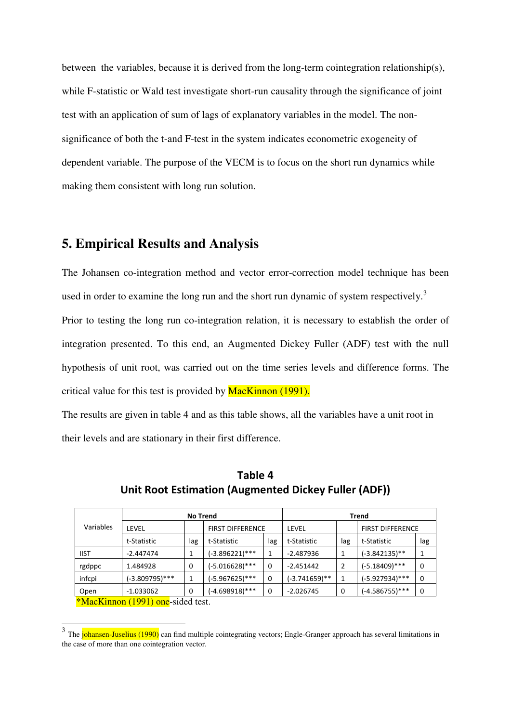between the variables, because it is derived from the long-term cointegration relationship(s), while F-statistic or Wald test investigate short-run causality through the significance of joint test with an application of sum of lags of explanatory variables in the model. The nonsignificance of both the t-and F-test in the system indicates econometric exogeneity of dependent variable. The purpose of the VECM is to focus on the short run dynamics while making them consistent with long run solution.

# **5. Empirical Results and Analysis**

<u>.</u>

The Johansen co-integration method and vector error-correction model technique has been used in order to examine the long run and the short run dynamic of system respectively.<sup>3</sup> Prior to testing the long run co-integration relation, it is necessary to establish the order of integration presented. To this end, an Augmented Dickey Fuller (ADF) test with the null hypothesis of unit root, was carried out on the time series levels and difference forms. The critical value for this test is provided by **MacKinnon** (1991).

The results are given in table 4 and as this table shows, all the variables have a unit root in their levels and are stationary in their first difference.

|                                          | <b>No Trend</b> |                         |                   |             | <b>Trend</b>  |                |                         |     |
|------------------------------------------|-----------------|-------------------------|-------------------|-------------|---------------|----------------|-------------------------|-----|
| Variables                                | LEVEL           | <b>FIRST DIFFERENCE</b> |                   |             | LEVEL         |                | <b>FIRST DIFFERENCE</b> |     |
|                                          | t-Statistic     | lag                     | t-Statistic       | lag         | t-Statistic   | lag            | t-Statistic             | lag |
| <b>IIST</b>                              | $-2.447474$     |                         | $(-3.896221)$ *** | 1           | $-2.487936$   |                | (-3.842135)**           |     |
| rgdppc                                   | 1.484928        | 0                       | $(-5.016628)$ *** | 0           | $-2.451442$   | $\overline{2}$ | $(-5.18409)$ ***        | 0   |
| infcpi                                   | (-3.809795)***  | 1                       | $(-5.967625)$ *** | $\mathbf 0$ | (-3.741659)** | 1              | (-5.927934)***          | 0   |
| Open                                     | $-1.033062$     | $\Omega$                | (-4.698918)***    | 0           | $-2.026745$   | 0              | (-4.586755)***          | 0   |
| <i>*MacKinnon</i> (1991) one-sided test. |                 |                         |                   |             |               |                |                         |     |

**Table 4 Unit Root Estimation (Augmented Dickey Fuller (ADF))** 

<sup>&</sup>lt;sup>3</sup> The johansen-Juselius (1990) can find multiple cointegrating vectors; Engle-Granger approach has several limitations in the case of more than one cointegration vector.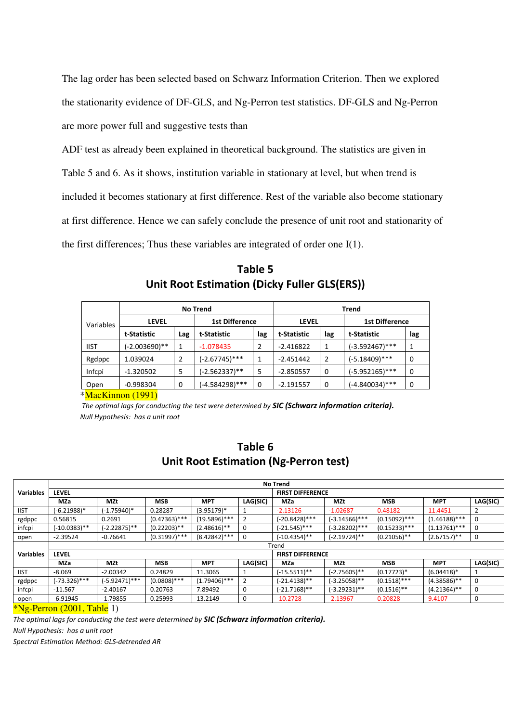The lag order has been selected based on Schwarz Information Criterion. Then we explored the stationarity evidence of DF-GLS, and Ng-Perron test statistics. DF-GLS and Ng-Perron are more power full and suggestive tests than

ADF test as already been explained in theoretical background. The statistics are given in Table 5 and 6. As it shows, institution variable in stationary at level, but when trend is included it becomes stationary at first difference. Rest of the variable also become stationary at first difference. Hence we can safely conclude the presence of unit root and stationarity of the first differences; Thus these variables are integrated of order one I(1).

|             | <b>No Trend</b> |             |                       |     | <b>Trend</b> |     |                       |     |
|-------------|-----------------|-------------|-----------------------|-----|--------------|-----|-----------------------|-----|
| Variables   | <b>LEVEL</b>    |             | <b>1st Difference</b> |     | <b>LEVEL</b> |     | <b>1st Difference</b> |     |
|             | t-Statistic     | Lag         | t-Statistic           | lag | t-Statistic  | lag | t-Statistic           | lag |
| <b>IIST</b> | (-2.003690)**   | 1           | $-1.078435$           | 2   | $-2.416822$  | 1   | (-3.592467)***        |     |
| Rgdppc      | 1.039024        | 2           | $(-2.67745)$ ***      | 1   | $-2.451442$  | 2   | $(-5.18409)$ ***      | 0   |
| Infcpi      | $-1.320502$     | 5           | (-2.562337)**         | 5   | $-2.850557$  | 0   | $(-5.952165)$ ***     | 0   |
| Open        | $-0.998304$     | $\mathbf 0$ | $(-4.584298)$ ***     | 0   | $-2.191557$  | 0   | (-4.840034)***        | 0   |

**Table 5 Unit Root Estimation (Dicky Fuller GLS(ERS))** 

\*MacKinnon (1991)

 *The optimal lags for conducting the test were determined by SIC (Schwarz information criteria). Null Hypothesis: has a unit root* 

### **Table 6 Unit Root Estimation (Ng-Perron test)**

|                  |                 |                 |                 |                 |          | <b>No Trend</b>           |                  |                 |                 |          |
|------------------|-----------------|-----------------|-----------------|-----------------|----------|---------------------------|------------------|-----------------|-----------------|----------|
| <b>Variables</b> | <b>LEVEL</b>    |                 |                 |                 |          | <b>FIRST DIFFERENCE</b>   |                  |                 |                 |          |
|                  | <b>MZa</b>      | <b>MZt</b>      | <b>MSB</b>      | <b>MPT</b>      | LAG(SIC) | MZa                       | MZt              | <b>MSB</b>      | <b>MPT</b>      | LAG(SIC) |
| <b>IIST</b>      | (-6.21988)*     | $(-1.75940)^*$  | 0.28287         | $(3.95179)^*$   |          | $-2.13126$                | $-1.02687$       | 0.48182         | 11.4451         |          |
| rgdppc           | 0.56815         | 0.2691          | $(0.47363)$ *** | $(19.5896)$ *** | 2        | $-20.8428$ <sup>***</sup> | (-3.14566)***    | $(0.15092)$ *** | $(1.46188)$ *** | 0        |
| infcpi           | $(-10.0383)$ ** | $(-2.22875)$ ** | $(0.22203)$ **  | $(2.48616)$ **  | 0        | $(-21.545)$ ***           | $(-3.28202)$ *** | $(0.15233)$ *** | $(1.13761)$ *** | 0        |
| open             | $-2.39524$      | $-0.76641$      | $(0.31997)$ *** | $(8.42842)$ *** | 0        | (-10.4354)**              | (-2.19724)**     | $(0.21056)$ **  | $(2.67157)$ **  | 0        |
|                  |                 |                 |                 |                 |          | Trend                     |                  |                 |                 |          |
| <b>Variables</b> | <b>LEVEL</b>    |                 |                 |                 |          | <b>FIRST DIFFERENCE</b>   |                  |                 |                 |          |
|                  | <b>MZa</b>      | <b>MZt</b>      | <b>MSB</b>      | <b>MPT</b>      | LAG(SIC) | MZa                       | MZt              | <b>MSB</b>      | <b>MPT</b>      | LAG(SIC) |
| <b>IIST</b>      | $-8.069$        | $-2.00342$      | 0.24829         | 11.3065         |          | $(-15.5511)$ **           | (-2.75605)**     | $(0.17723)*$    | $(6.04418)*$    |          |
| rgdppc           | (-73.326)***    | (-5.92471)***   | $(0.0808)$ ***  | $(1.79406)$ *** | 2        | (-21.4138)**              | $(-3.25058)$ **  | $(0.1518)$ ***  | $(4.38586)$ **  | 0        |
| infcpi           | $-11.567$       | $-2.40167$      | 0.20763         | 7.89492         | 0        | $(-21.7168)$ **           | (-3.29231)**     | $(0.1516)$ **   | $(4.21364)$ **  | 0        |
| open             | $-6.91945$      | $-1.79855$      | 0.25993         | 13.2149         | 0        | $-10.2728$                | $-2.13967$       | 0.20828         | 9.4107          | 0        |
|                  |                 |                 |                 |                 |          |                           |                  |                 |                 |          |

 $*\text{Ne-Perron} (2001, \text{Table 1})$ 

*The optimal lags for conducting the test were determined by SIC (Schwarz information criteria).*

*Null Hypothesis: has a unit root* 

*Spectral Estimation Method: GLS-detrended AR*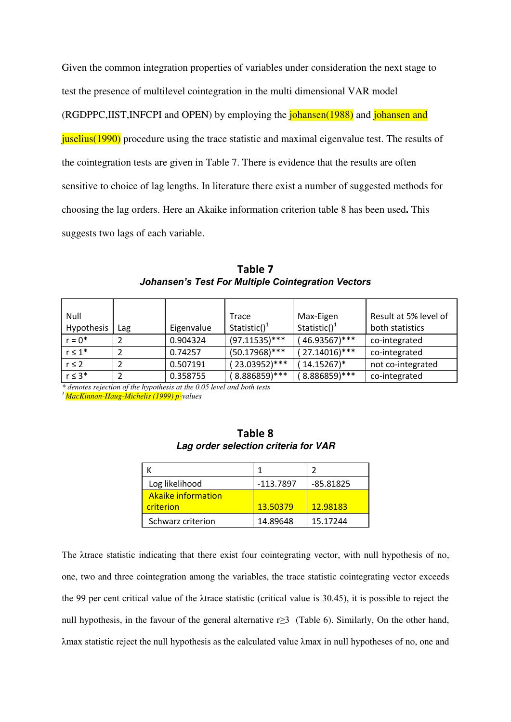Given the common integration properties of variables under consideration the next stage to test the presence of multilevel cointegration in the multi dimensional VAR model (RGDPPC,IIST,INFCPI and OPEN) by employing the johansen(1988) and johansen and juselius(1990) procedure using the trace statistic and maximal eigenvalue test. The results of the cointegration tests are given in Table 7. There is evidence that the results are often sensitive to choice of lag lengths. In literature there exist a number of suggested methods for choosing the lag orders. Here an Akaike information criterion table 8 has been used**.** This suggests two lags of each variable.

| Null         |     |            | Trace                    | Max-Eigen                | Result at 5% level of |
|--------------|-----|------------|--------------------------|--------------------------|-----------------------|
| Hypothesis   | Lag | Eigenvalue | Statistic() <sup>1</sup> | Statistic() <sup>1</sup> | both statistics       |
| $r = 0^*$    |     | 0.904324   | $(97.11535)$ ***         | $'46.93567$ )***         | co-integrated         |
| $r \leq 1^*$ |     | 0.74257    | $(50.17968)$ ***         | $(27.14016)$ ***         | co-integrated         |
| $r \leq 2$   |     | 0.507191   | 23.03952)***             | $(14.15267)^*$           | not co-integrated     |
| $r \leq 3^*$ | ົ   | 0.358755   | 8.886859)***             | 8.886859)***             | co-integrated         |

**Table 7**  *Johansen's Test For Multiple Cointegration Vectors*

*\* denotes rejection of the hypothesis at the 0.05 level and both tests*

*<sup>1</sup>MacKinnon-Haug-Michelis (1999) p-values* 

| Log likelihood     | -113.7897 | $-85.81825$ |
|--------------------|-----------|-------------|
| Akaike information |           |             |
| criterion          | 13.50379  | 12.98183    |
| Schwarz criterion  | 14.89648  | 15.17244    |

| Table 8                              |  |
|--------------------------------------|--|
| Lag order selection criteria for VAR |  |

The λtrace statistic indicating that there exist four cointegrating vector, with null hypothesis of no, one, two and three cointegration among the variables, the trace statistic cointegrating vector exceeds the 99 per cent critical value of the λtrace statistic (critical value is 30.45), it is possible to reject the null hypothesis, in the favour of the general alternative r≥3 (Table 6). Similarly, On the other hand, λmax statistic reject the null hypothesis as the calculated value λmax in null hypotheses of no, one and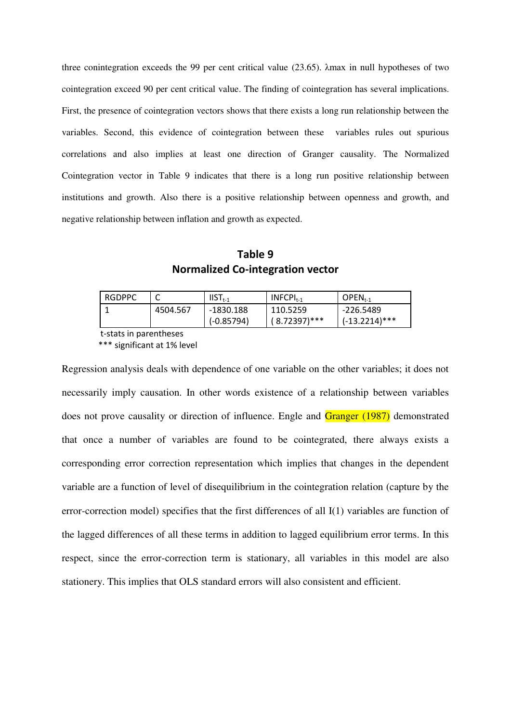three conintegration exceeds the 99 per cent critical value (23.65). λmax in null hypotheses of two cointegration exceed 90 per cent critical value. The finding of cointegration has several implications. First, the presence of cointegration vectors shows that there exists a long run relationship between the variables. Second, this evidence of cointegration between these variables rules out spurious correlations and also implies at least one direction of Granger causality. The Normalized Cointegration vector in Table 9 indicates that there is a long run positive relationship between institutions and growth. Also there is a positive relationship between openness and growth, and negative relationship between inflation and growth as expected.

**Table 9 Normalized Co-integration vector** 

| <b>RGDPPC</b> |          | $IIST_{t-1}$              | $INFCPIt-1$                 | $OPEN_{t-1}$                  |
|---------------|----------|---------------------------|-----------------------------|-------------------------------|
|               | 4504.567 | -1830.188<br>$(-0.85794)$ | 110.5259<br>$(8.72397)$ *** | -226.5489<br>$(-13.2214)$ *** |
|               |          |                           |                             |                               |

t-stats in parentheses

\*\*\* significant at 1% level

Regression analysis deals with dependence of one variable on the other variables; it does not necessarily imply causation. In other words existence of a relationship between variables does not prove causality or direction of influence. Engle and Granger (1987) demonstrated that once a number of variables are found to be cointegrated, there always exists a corresponding error correction representation which implies that changes in the dependent variable are a function of level of disequilibrium in the cointegration relation (capture by the error-correction model) specifies that the first differences of all I(1) variables are function of the lagged differences of all these terms in addition to lagged equilibrium error terms. In this respect, since the error-correction term is stationary, all variables in this model are also stationery. This implies that OLS standard errors will also consistent and efficient.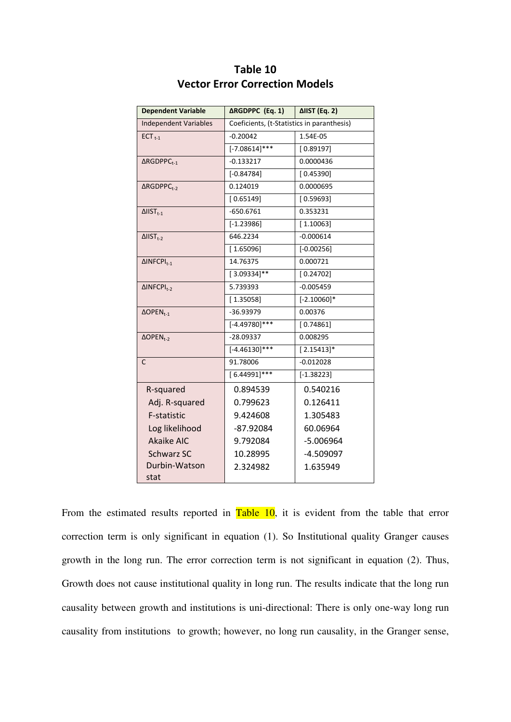| <b>Dependent Variable</b>         | <b>∆RGDPPC</b> (Eq. 1)                     | ΔΙΙST (Eq. 2) |  |
|-----------------------------------|--------------------------------------------|---------------|--|
| <b>Independent Variables</b>      | Coeficients, (t-Statistics in paranthesis) |               |  |
| $ECT_{t-1}$                       | $-0.20042$                                 | 1.54E-05      |  |
|                                   | $[-7.08614]$ ***                           | [0.89197]     |  |
| $\triangle$ RGDPPC <sub>t-1</sub> | $-0.133217$                                | 0.0000436     |  |
|                                   | $[-0.84784]$                               | [0.45390]     |  |
| $\triangle$ RGDPPC <sub>t-2</sub> | 0.124019                                   | 0.0000695     |  |
|                                   | [0.65149]                                  | [0.59693]     |  |
| $\Delta$ IIST <sub>t-1</sub>      | $-650.6761$                                | 0.353231      |  |
|                                   | $[-1.23986]$                               | [1.10063]     |  |
| $\Delta$ IIST <sub>t-2</sub>      | 646.2234                                   | $-0.000614$   |  |
|                                   | [1.65096]                                  | $[-0.00256]$  |  |
| $\Delta$ INFCPI <sub>t-1</sub>    | 14.76375                                   | 0.000721      |  |
|                                   | $[3.09334]$ **                             | [0.24702]     |  |
| $\Delta$ INFCPI <sub>t-2</sub>    | 5.739393                                   | $-0.005459$   |  |
|                                   | [1.35058]                                  | $[-2.10060]*$ |  |
| $\triangle$ OPEN <sub>t-1</sub>   | -36.93979                                  | 0.00376       |  |
|                                   | $[-4.49780]$ ***                           | [0.74861]     |  |
| $\triangle$ OPEN <sub>t-2</sub>   | $-28.09337$                                | 0.008295      |  |
|                                   | $[-4.46130]$ ***                           | $[2.15413]*$  |  |
| $\mathsf{C}$                      | 91.78006                                   | $-0.012028$   |  |
|                                   | $[6.44991]$ ***                            | $[-1.38223]$  |  |
| R-squared                         | 0.894539                                   | 0.540216      |  |
| Adj. R-squared                    | 0.799623                                   | 0.126411      |  |
| F-statistic                       | 9.424608                                   | 1.305483      |  |
| Log likelihood                    | $-87.92084$                                | 60.06964      |  |
| <b>Akaike AIC</b>                 | 9.792084                                   | $-5.006964$   |  |
| Schwarz SC                        | 10.28995                                   | $-4.509097$   |  |
| Durbin-Watson                     | 2.324982                                   | 1.635949      |  |
| stat                              |                                            |               |  |

### **Table 10 Vector Error Correction Models**

From the estimated results reported in  $Table 10$ , it is evident from the table that error correction term is only significant in equation (1). So Institutional quality Granger causes growth in the long run. The error correction term is not significant in equation (2). Thus, Growth does not cause institutional quality in long run. The results indicate that the long run causality between growth and institutions is uni-directional: There is only one-way long run causality from institutions to growth; however, no long run causality, in the Granger sense,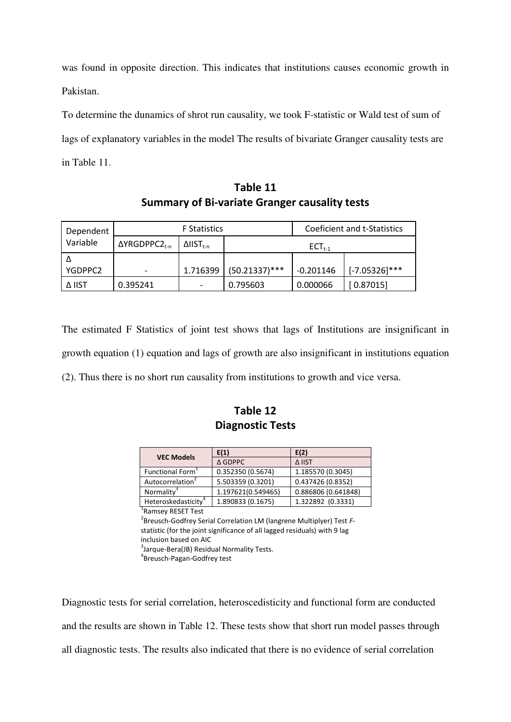was found in opposite direction. This indicates that institutions causes economic growth in Pakistan.

To determine the dunamics of shrot run causality, we took F-statistic or Wald test of sum of lags of explanatory variables in the model The results of bivariate Granger causality tests are in Table 11.

**Table 11 Summary of Bi-variate Granger causality tests** 

| <b>F</b> Statistics<br>Dependent<br>Variable<br>ΔYRGDPPC2 <sub>t-n</sub><br>$\Delta$ IIST <sub>t-n</sub> |          |             | Coeficient and t-Statistics |             |                  |
|----------------------------------------------------------------------------------------------------------|----------|-------------|-----------------------------|-------------|------------------|
|                                                                                                          |          | $ECT_{t-1}$ |                             |             |                  |
|                                                                                                          |          |             |                             |             |                  |
| YGDPPC2                                                                                                  |          | 1.716399    | $(50.21337)$ ***            | $-0.201146$ | $[-7.05326]$ *** |
| Δ IIST                                                                                                   | 0.395241 |             | 0.795603                    | 0.000066    | [0.87015]        |

The estimated F Statistics of joint test shows that lags of Institutions are insignificant in growth equation (1) equation and lags of growth are also insignificant in institutions equation (2). Thus there is no short run causality from institutions to growth and vice versa.

# **Table 12 Diagnostic Tests**

| <b>VEC Models</b>               | E(1)               | E(2)                |  |
|---------------------------------|--------------------|---------------------|--|
|                                 | $\triangle$ GDPPC  | Δ IIST              |  |
| Functional Form <sup>1</sup>    | 0.352350 (0.5674)  | 1.185570 (0.3045)   |  |
| Autocorrelation                 | 5.503359 (0.3201)  | 0.437426 (0.8352)   |  |
| Normality <sup>3</sup>          | 1.197621(0.549465) | 0.886806 (0.641848) |  |
| Heteroskedasticity <sup>4</sup> | 1.890833 (0.1675)  | 1.322892 (0.3331)   |  |
|                                 |                    |                     |  |

<sup>1</sup> Ramsey RESET Test

2 Breusch-Godfrey Serial Correlation LM (langrene Multiplyer) Test *F*statistic (for the joint significance of all lagged residuals) with 9 lag inclusion based on AIC <sup>3</sup>Jarque-Bera(JB) Residual Normality Tests.

4 Breusch-Pagan-Godfrey test

Diagnostic tests for serial correlation, heteroscedisticity and functional form are conducted and the results are shown in Table 12. These tests show that short run model passes through all diagnostic tests. The results also indicated that there is no evidence of serial correlation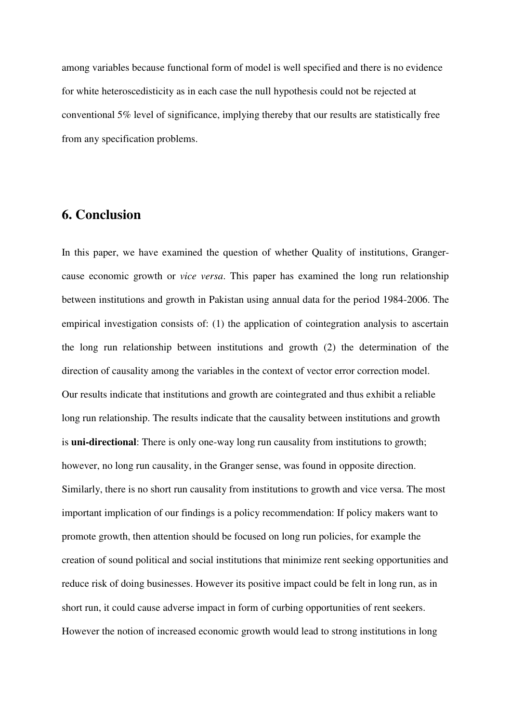among variables because functional form of model is well specified and there is no evidence for white heteroscedisticity as in each case the null hypothesis could not be rejected at conventional 5% level of significance, implying thereby that our results are statistically free from any specification problems.

# **6. Conclusion**

In this paper, we have examined the question of whether Quality of institutions, Grangercause economic growth or *vice versa*. This paper has examined the long run relationship between institutions and growth in Pakistan using annual data for the period 1984-2006. The empirical investigation consists of: (1) the application of cointegration analysis to ascertain the long run relationship between institutions and growth (2) the determination of the direction of causality among the variables in the context of vector error correction model. Our results indicate that institutions and growth are cointegrated and thus exhibit a reliable long run relationship. The results indicate that the causality between institutions and growth is **uni-directional**: There is only one-way long run causality from institutions to growth; however, no long run causality, in the Granger sense, was found in opposite direction. Similarly, there is no short run causality from institutions to growth and vice versa. The most important implication of our findings is a policy recommendation: If policy makers want to promote growth, then attention should be focused on long run policies, for example the creation of sound political and social institutions that minimize rent seeking opportunities and reduce risk of doing businesses. However its positive impact could be felt in long run, as in short run, it could cause adverse impact in form of curbing opportunities of rent seekers. However the notion of increased economic growth would lead to strong institutions in long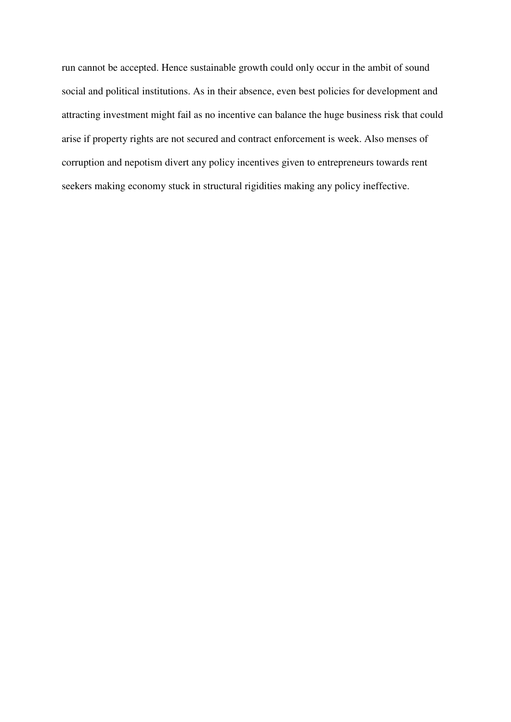run cannot be accepted. Hence sustainable growth could only occur in the ambit of sound social and political institutions. As in their absence, even best policies for development and attracting investment might fail as no incentive can balance the huge business risk that could arise if property rights are not secured and contract enforcement is week. Also menses of corruption and nepotism divert any policy incentives given to entrepreneurs towards rent seekers making economy stuck in structural rigidities making any policy ineffective.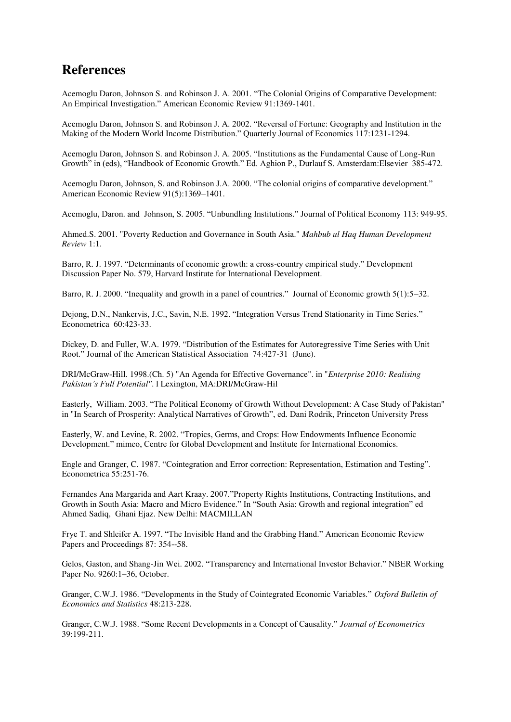# **References**

Acemoglu Daron, Johnson S. and Robinson J. A. 2001. "The Colonial Origins of Comparative Development: An Empirical Investigation." American Economic Review 91:1369-1401.

Acemoglu Daron, Johnson S. and Robinson J. A. 2002. "Reversal of Fortune: Geography and Institution in the Making of the Modern World Income Distribution." Quarterly Journal of Economics 117:1231-1294.

Acemoglu Daron, Johnson S. and Robinson J. A. 2005. "Institutions as the Fundamental Cause of Long-Run Growth" in (eds), "Handbook of Economic Growth." Ed. Aghion P., Durlauf S. Amsterdam:Elsevier 385-472.

Acemoglu Daron, Johnson, S. and Robinson J.A. 2000. "The colonial origins of comparative development." American Economic Review 91(5):1369–1401.

Acemoglu, Daron. and Johnson, S. 2005. "Unbundling Institutions." Journal of Political Economy 113: 949-95.

Ahmed.S. 2001. "Poverty Reduction and Governance in South Asia." *Mahbub ul Haq Human Development Review* 1:1.

Barro, R. J. 1997. "Determinants of economic growth: a cross-country empirical study." Development Discussion Paper No. 579, Harvard Institute for International Development.

Barro, R. J. 2000. "Inequality and growth in a panel of countries." Journal of Economic growth 5(1):5–32.

Dejong, D.N., Nankervis, J.C., Savin, N.E. 1992. "Integration Versus Trend Stationarity in Time Series." Econometrica 60:423-33.

Dickey, D. and Fuller, W.A. 1979. "Distribution of the Estimates for Autoregressive Time Series with Unit Root." Journal of the American Statistical Association 74:427-31 (June).

DRI/McGraw-Hill. 1998.(Ch. 5) "An Agenda for Effective Governance". in "*Enterprise 2010: Realising Pakistan's Full Potential"*. l Lexington, MA:DRI/McGraw-Hil

Easterly, William. 2003. "The Political Economy of Growth Without Development: A Case Study of Pakistan" in "In Search of Prosperity: Analytical Narratives of Growth", ed. Dani Rodrik, Princeton University Press

Easterly, W. and Levine, R. 2002. "Tropics, Germs, and Crops: How Endowments Influence Economic Development." mimeo, Centre for Global Development and Institute for International Economics.

Engle and Granger, C. 1987. "Cointegration and Error correction: Representation, Estimation and Testing". Econometrica 55:251-76.

Fernandes Ana Margarida and Aart Kraay. 2007."Property Rights Institutions, Contracting Institutions, and Growth in South Asia: Macro and Micro Evidence." In "South Asia: Growth and regional integration" ed Ahmed Sadiq, Ghani Ejaz. New Delhi: MACMILLAN

Frye T. and Shleifer A. 1997. "The Invisible Hand and the Grabbing Hand." American Economic Review Papers and Proceedings 87: 354--58.

Gelos, Gaston, and Shang-Jin Wei. 2002. "Transparency and International Investor Behavior." NBER Working Paper No. 9260:1–36, October.

Granger, C.W.J. 1986. "Developments in the Study of Cointegrated Economic Variables." *Oxford Bulletin of Economics and Statistics* 48:213-228.

Granger, C.W.J. 1988. "Some Recent Developments in a Concept of Causality." *Journal of Econometrics* 39:199-211.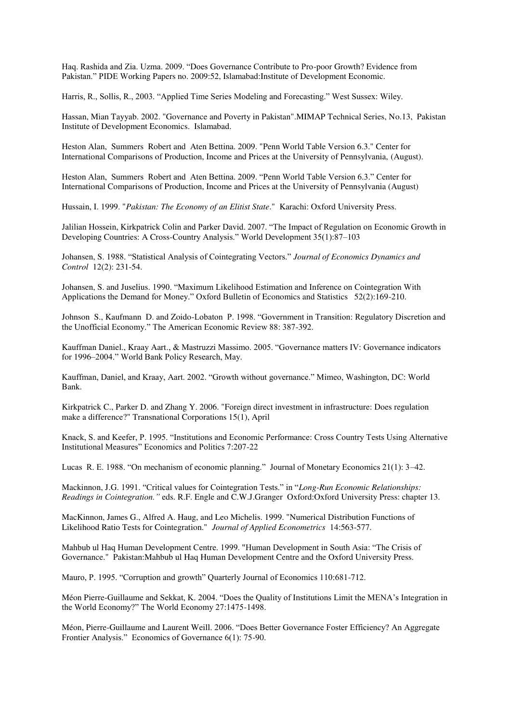Haq. Rashida and Zia. Uzma. 2009. "Does Governance Contribute to Pro-poor Growth? Evidence from Pakistan." PIDE Working Papers no. 2009:52, Islamabad:Institute of Development Economic.

Harris, R., Sollis, R., 2003. "Applied Time Series Modeling and Forecasting." West Sussex: Wiley.

Hassan, Mian Tayyab. 2002. "Governance and Poverty in Pakistan".MIMAP Technical Series, No.13, Pakistan Institute of Development Economics. Islamabad.

Heston Alan, Summers Robert and Aten Bettina. 2009. "Penn World Table Version 6.3." Center for International Comparisons of Production, Income and Prices at the University of Pennsylvania, (August).

Heston Alan, Summers Robert and Aten Bettina. 2009. "Penn World Table Version 6.3." Center for International Comparisons of Production, Income and Prices at the University of Pennsylvania (August)

Hussain, I. 1999. "*Pakistan: The Economy of an Elitist State*." Karachi: Oxford University Press.

Jalilian Hossein, Kirkpatrick Colin and Parker David. 2007. "The Impact of Regulation on Economic Growth in Developing Countries: A Cross-Country Analysis." World Development 35(1):87–103

Johansen, S. 1988. "Statistical Analysis of Cointegrating Vectors." *Journal of Economics Dynamics and Control* 12(2): 231-54.

Johansen, S. and Juselius. 1990. "Maximum Likelihood Estimation and Inference on Cointegration With Applications the Demand for Money." Oxford Bulletin of Economics and Statistics 52(2):169-210.

Johnson S., Kaufmann D. and Zoido-Lobaton P. 1998. "Government in Transition: Regulatory Discretion and the Unofficial Economy." The American Economic Review 88: 387-392.

Kauffman Daniel., Kraay Aart., & Mastruzzi Massimo. 2005. "Governance matters IV: Governance indicators for 1996–2004." World Bank Policy Research, May.

Kauffman, Daniel, and Kraay, Aart. 2002. "Growth without governance." Mimeo, Washington, DC: World Bank.

Kirkpatrick C., Parker D. and Zhang Y. 2006. "Foreign direct investment in infrastructure: Does regulation make a difference?" Transnational Corporations 15(1), April

Knack, S. and Keefer, P. 1995. "Institutions and Economic Performance: Cross Country Tests Using Alternative Institutional Measures" Economics and Politics 7:207-22

Lucas R. E. 1988. "On mechanism of economic planning." Journal of Monetary Economics 21(1): 3–42.

Mackinnon, J.G. 1991. "Critical values for Cointegration Tests." in "*Long-Run Economic Relationships: Readings in Cointegration."* eds. R.F. Engle and C.W.J.Granger Oxford:Oxford University Press: chapter 13.

MacKinnon, James G., Alfred A. Haug, and Leo Michelis. 1999. "Numerical Distribution Functions of Likelihood Ratio Tests for Cointegration." *Journal of Applied Econometrics* 14:563-577.

Mahbub ul Haq Human Development Centre. 1999. "Human Development in South Asia: "The Crisis of Governance." Pakistan:Mahbub ul Haq Human Development Centre and the Oxford University Press.

Mauro, P. 1995. "Corruption and growth" Quarterly Journal of Economics 110:681-712.

Méon Pierre-Guillaume and Sekkat, K. 2004. "Does the Quality of Institutions Limit the MENA"s Integration in the World Economy?" The World Economy 27:1475-1498.

Méon, Pierre-Guillaume and Laurent Weill. 2006. "Does Better Governance Foster Efficiency? An Aggregate Frontier Analysis." Economics of Governance 6(1): 75-90.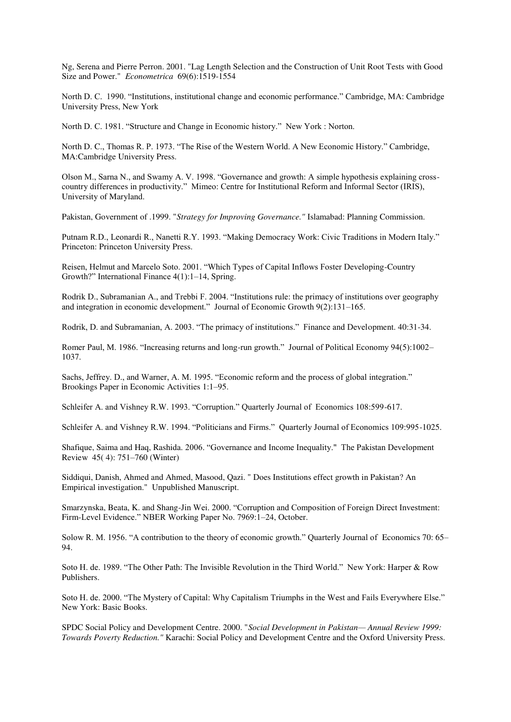Ng, Serena and Pierre Perron. 2001. "Lag Length Selection and the Construction of Unit Root Tests with Good Size and Power." *Econometrica* 69(6):1519-1554

North D. C. 1990. "Institutions, institutional change and economic performance." Cambridge, MA: Cambridge University Press, New York

North D. C. 1981. "Structure and Change in Economic history." New York : Norton.

North D. C., Thomas R. P. 1973. "The Rise of the Western World. A New Economic History." Cambridge, MA:Cambridge University Press.

Olson M., Sarna N., and Swamy A. V. 1998. "Governance and growth: A simple hypothesis explaining crosscountry differences in productivity." Mimeo: Centre for Institutional Reform and Informal Sector (IRIS), University of Maryland.

Pakistan, Government of .1999. "*Strategy for Improving Governance."* Islamabad: Planning Commission.

Putnam R.D., Leonardi R., Nanetti R.Y. 1993. "Making Democracy Work: Civic Traditions in Modern Italy." Princeton: Princeton University Press.

Reisen, Helmut and Marcelo Soto. 2001. "Which Types of Capital Inflows Foster Developing-Country Growth?" International Finance 4(1):1–14, Spring.

Rodrik D., Subramanian A., and Trebbi F. 2004. "Institutions rule: the primacy of institutions over geography and integration in economic development." Journal of Economic Growth 9(2):131–165.

Rodrik, D. and Subramanian, A. 2003. "The primacy of institutions." Finance and Development. 40:31-34.

Romer Paul, M. 1986. "Increasing returns and long-run growth." Journal of Political Economy 94(5):1002– 1037.

Sachs, Jeffrey. D., and Warner, A. M. 1995. "Economic reform and the process of global integration." Brookings Paper in Economic Activities 1:1–95.

Schleifer A. and Vishney R.W. 1993. "Corruption." Quarterly Journal of Economics 108:599-617.

Schleifer A. and Vishney R.W. 1994. "Politicians and Firms." Quarterly Journal of Economics 109:995-1025.

Shafique, Saima and Haq, Rashida. 2006. "Governance and Income Inequality." The Pakistan Development Review 45( 4): 751–760 (Winter)

Siddiqui, Danish, Ahmed and Ahmed, Masood, Qazi. " Does Institutions effect growth in Pakistan? An Empirical investigation." Unpublished Manuscript.

Smarzynska, Beata, K. and Shang-Jin Wei. 2000. "Corruption and Composition of Foreign Direct Investment: Firm-Level Evidence." NBER Working Paper No. 7969:1–24, October.

Solow R. M. 1956. "A contribution to the theory of economic growth." Quarterly Journal of Economics 70: 65– 94.

Soto H. de. 1989. "The Other Path: The Invisible Revolution in the Third World." New York: Harper & Row Publishers.

Soto H. de. 2000. "The Mystery of Capital: Why Capitalism Triumphs in the West and Fails Everywhere Else." New York: Basic Books.

SPDC Social Policy and Development Centre. 2000. "*Social Development in Pakistan— Annual Review 1999: Towards Poverty Reduction."* Karachi: Social Policy and Development Centre and the Oxford University Press.